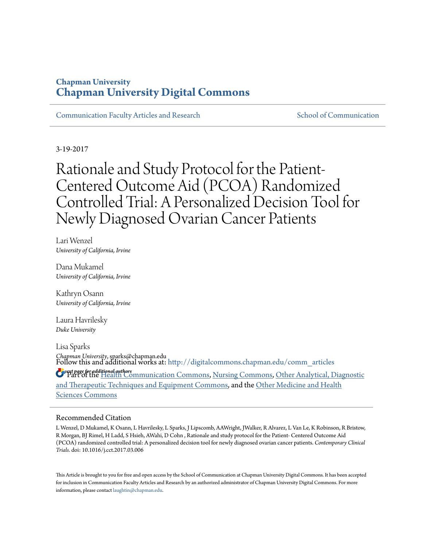### **Chapman University [Chapman University Digital Commons](http://digitalcommons.chapman.edu?utm_source=digitalcommons.chapman.edu%2Fcomm_articles%2F33&utm_medium=PDF&utm_campaign=PDFCoverPages)**

[Communication Faculty Articles and Research](http://digitalcommons.chapman.edu/comm_articles?utm_source=digitalcommons.chapman.edu%2Fcomm_articles%2F33&utm_medium=PDF&utm_campaign=PDFCoverPages) [School of Communication](http://digitalcommons.chapman.edu/communication?utm_source=digitalcommons.chapman.edu%2Fcomm_articles%2F33&utm_medium=PDF&utm_campaign=PDFCoverPages)

3-19-2017

Rationale and Study Protocol for the Patient-Centered Outcome Aid (PCOA) Randomized Controlled Trial: A Personalized Decision Tool for Newly Diagnosed Ovarian Cancer Patients

Lari Wenzel *University of California, Irvine*

Dana Mukamel *University of California, Irvine*

Kathryn Osann *University of California, Irvine*

Laura Havrilesky *Duke University*

Lisa Sparks *Chapman University*, sparks@chapman.edu Follow this and additional works at: [http://digitalcommons.chapman.edu/comm\\_articles](http://digitalcommons.chapman.edu/comm_articles?utm_source=digitalcommons.chapman.edu%2Fcomm_articles%2F33&utm_medium=PDF&utm_campaign=PDFCoverPages)

*See next page for additional authors* Part of the [Health Communication Commons](http://network.bepress.com/hgg/discipline/330?utm_source=digitalcommons.chapman.edu%2Fcomm_articles%2F33&utm_medium=PDF&utm_campaign=PDFCoverPages), [Nursing Commons](http://network.bepress.com/hgg/discipline/718?utm_source=digitalcommons.chapman.edu%2Fcomm_articles%2F33&utm_medium=PDF&utm_campaign=PDFCoverPages), [Other Analytical, Diagnostic](http://network.bepress.com/hgg/discipline/994?utm_source=digitalcommons.chapman.edu%2Fcomm_articles%2F33&utm_medium=PDF&utm_campaign=PDFCoverPages) [and Therapeutic Techniques and Equipment Commons,](http://network.bepress.com/hgg/discipline/994?utm_source=digitalcommons.chapman.edu%2Fcomm_articles%2F33&utm_medium=PDF&utm_campaign=PDFCoverPages) and the [Other Medicine and Health](http://network.bepress.com/hgg/discipline/772?utm_source=digitalcommons.chapman.edu%2Fcomm_articles%2F33&utm_medium=PDF&utm_campaign=PDFCoverPages) [Sciences Commons](http://network.bepress.com/hgg/discipline/772?utm_source=digitalcommons.chapman.edu%2Fcomm_articles%2F33&utm_medium=PDF&utm_campaign=PDFCoverPages)

#### Recommended Citation

L Wenzel, D Mukamel, K Osann, L Havrilesky, L Sparks, J Lipscomb, AAWright, JWalker, R Alvarez, L Van Le, K Robinson, R Bristow, R Morgan, BJ Rimel, H Ladd, S Hsieh, AWahi, D Cohn , Rationale and study protocol for the Patient- Centered Outcome Aid (PCOA) randomized controlled trial: A personalized decision tool for newly diagnosed ovarian cancer patients. *Contemporary Clinical Trials*. doi: 10.1016/j.cct.2017.03.006

This Article is brought to you for free and open access by the School of Communication at Chapman University Digital Commons. It has been accepted for inclusion in Communication Faculty Articles and Research by an authorized administrator of Chapman University Digital Commons. For more information, please contact [laughtin@chapman.edu](mailto:laughtin@chapman.edu).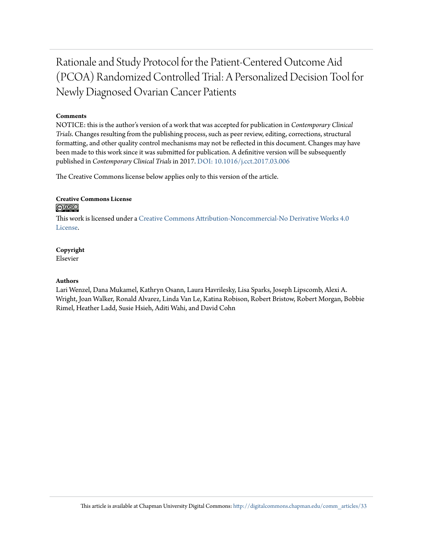# Rationale and Study Protocol for the Patient-Centered Outcome Aid (PCOA) Randomized Controlled Trial: A Personalized Decision Tool for Newly Diagnosed Ovarian Cancer Patients

### **Comments**

NOTICE: this is the author's version of a work that was accepted for publication in *Contemporary Clinical Trials*. Changes resulting from the publishing process, such as peer review, editing, corrections, structural formatting, and other quality control mechanisms may not be reflected in this document. Changes may have been made to this work since it was submitted for publication. A definitive version will be subsequently published in *Contemporary Clinical Trials* in 2017. [DOI: 10.1016/j.cct.2017.03.006](http://dx.doi.org/10.1016/j.cct.2017.03.006)

The Creative Commons license below applies only to this version of the article.

#### **Creative Commons License** <u>@O®©</u>

This work is licensed under a [Creative Commons Attribution-Noncommercial-No Derivative Works 4.0](http://creativecommons.org/licenses/by-nc-nd/4.0/) [License.](http://creativecommons.org/licenses/by-nc-nd/4.0/)

### **Copyright**

Elsevier

#### **Authors**

Lari Wenzel, Dana Mukamel, Kathryn Osann, Laura Havrilesky, Lisa Sparks, Joseph Lipscomb, Alexi A. Wright, Joan Walker, Ronald Alvarez, Linda Van Le, Katina Robison, Robert Bristow, Robert Morgan, Bobbie Rimel, Heather Ladd, Susie Hsieh, Aditi Wahi, and David Cohn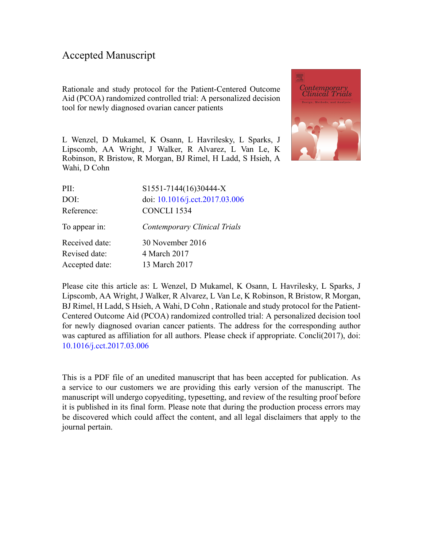### Accepted Manuscript

Rationale and study protocol for the Patient-Centered Outcome Aid (PCOA) randomized controlled trial: A personalized decision tool for newly diagnosed ovarian cancer patients

L Wenzel, D Mukamel, K Osann, L Havrilesky, L Sparks, J Lipscomb, AA Wright, J Walker, R Alvarez, L Van Le, K Robinson, R Bristow, R Morgan, BJ Rimel, H Ladd, S Hsieh, A Wahi, D Cohn



| PII:           | S1551-7144(16)30444-X          |
|----------------|--------------------------------|
| DOI:           | doi: 10.1016/j.cct.2017.03.006 |
| Reference:     | CONCLI <sub>1534</sub>         |
| To appear in:  | Contemporary Clinical Trials   |
| Received date: | 30 November 2016               |
| Revised date:  | 4 March 2017                   |
| Accepted date: | 13 March 2017                  |

Please cite this article as: L Wenzel, D Mukamel, K Osann, L Havrilesky, L Sparks, J Lipscomb, AA Wright, J Walker, R Alvarez, L Van Le, K Robinson, R Bristow, R Morgan, BJ Rimel, H Ladd, S Hsieh, A Wahi, D Cohn , Rationale and study protocol for the Patient-Centered Outcome Aid (PCOA) randomized controlled trial: A personalized decision tool for newly diagnosed ovarian cancer patients. The address for the corresponding author was captured as affiliation for all authors. Please check if appropriate. Concli(2017), doi: [10.1016/j.cct.2017.03.006](http://dx.doi.org/10.1016/j.cct.2017.03.006)

This is a PDF file of an unedited manuscript that has been accepted for publication. As a service to our customers we are providing this early version of the manuscript. The manuscript will undergo copyediting, typesetting, and review of the resulting proof before it is published in its final form. Please note that during the production process errors may be discovered which could affect the content, and all legal disclaimers that apply to the journal pertain.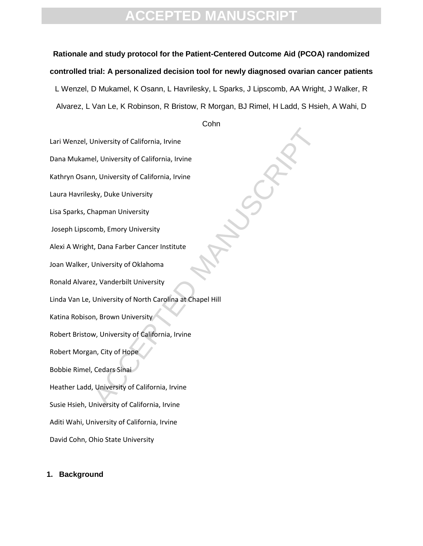### **Rationale and study protocol for the Patient-Centered Outcome Aid (PCOA) randomized controlled trial: A personalized decision tool for newly diagnosed ovarian cancer patients**

L Wenzel, D Mukamel, K Osann, L Havrilesky, L Sparks, J Lipscomb, AA Wright, J Walker, R Alvarez, L Van Le, K Robinson, R Bristow, R Morgan, BJ Rimel, H Ladd, S Hsieh, A Wahi, D

Cohn

Lari Wenzel, University of California, Irvine

Dana Mukamel, University of California, Irvine

Kathryn Osann, University of California, Irvine

Laura Havrilesky, Duke University

Lisa Sparks, Chapman University

Joseph Lipscomb, Emory University

Alexi A Wright, Dana Farber Cancer Institute

Joan Walker, University of Oklahoma

Ronald Alvarez, Vanderbilt University

University of California, Irvine<br>
el, University of California, Irvine<br>
m, University of California, Irvine<br>
kky, Duke University<br>
hapman University<br>
t, Dana Farber Cancer Institute<br>
University of Oklahoma<br>
z, Vanderbilt U Linda Van Le, University of North Carolina at Chapel Hill

Katina Robison, Brown University

Robert Bristow, University of California, Irvine

Robert Morgan, City of Hope

Bobbie Rimel, Cedars Sinai

Heather Ladd, University of California, Irvine

Susie Hsieh, University of California, Irvine

Aditi Wahi, University of California, Irvine

David Cohn, Ohio State University

### **1. Background**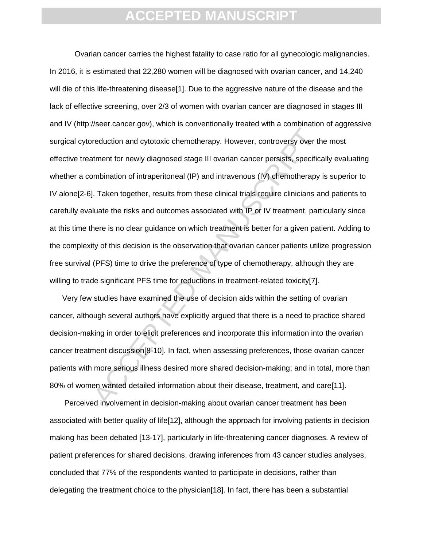reduction and cylotoxic chemotherapy. However, controversy over the ment for newly diagnosed stage III ovarian cancer persists, specificial momentation of intraperitoneal (IP) and intravenous (IV) chemotherapy.<br>I. Taken to Ovarian cancer carries the highest fatality to case ratio for all gynecologic malignancies. In 2016, it is estimated that 22,280 women will be diagnosed with ovarian cancer, and 14,240 will die of this life-threatening disease[1]. Due to the aggressive nature of the disease and the lack of effective screening, over 2/3 of women with ovarian cancer are diagnosed in stages III and IV (http://seer.cancer.gov), which is conventionally treated with a combination of aggressive surgical cytoreduction and cytotoxic chemotherapy. However, controversy over the most effective treatment for newly diagnosed stage III ovarian cancer persists, specifically evaluating whether a combination of intraperitoneal (IP) and intravenous (IV) chemotherapy is superior to IV alone[2-6]. Taken together, results from these clinical trials require clinicians and patients to carefully evaluate the risks and outcomes associated with IP or IV treatment, particularly since at this time there is no clear guidance on which treatment is better for a given patient. Adding to the complexity of this decision is the observation that ovarian cancer patients utilize progression free survival (PFS) time to drive the preference of type of chemotherapy, although they are willing to trade significant PFS time for reductions in treatment-related toxicity[7].

Very few studies have examined the use of decision aids within the setting of ovarian cancer, although several authors have explicitly argued that there is a need to practice shared decision-making in order to elicit preferences and incorporate this information into the ovarian cancer treatment discussion[8-10]. In fact, when assessing preferences, those ovarian cancer patients with more serious illness desired more shared decision-making; and in total, more than 80% of women wanted detailed information about their disease, treatment, and care[11].

Perceived involvement in decision-making about ovarian cancer treatment has been associated with better quality of life[12], although the approach for involving patients in decision making has been debated [13-17], particularly in life-threatening cancer diagnoses. A review of patient preferences for shared decisions, drawing inferences from 43 cancer studies analyses, concluded that 77% of the respondents wanted to participate in decisions, rather than delegating the treatment choice to the physician<sup>[18]</sup>. In fact, there has been a substantial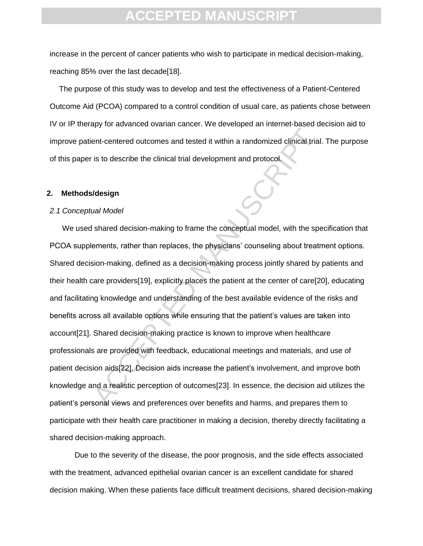increase in the percent of cancer patients who wish to participate in medical decision-making, reaching 85% over the last decade[18].

The purpose of this study was to develop and test the effectiveness of a Patient-Centered Outcome Aid (PCOA) compared to a control condition of usual care, as patients chose between IV or IP therapy for advanced ovarian cancer. We developed an internet-based decision aid to improve patient-centered outcomes and tested it within a randomized clinical trial. The purpose of this paper is to describe the clinical trial development and protocol.

### **2. Methods/design**

#### *2.1 Conceptual Model*

The contered outcomes and tested it within a randomized clinical trial<br>is to describe the clinical trial development and protocol.<br> **Acception**<br> **Acception**<br> **Acception**<br> **Acception**<br> **Acception**<br> **Acception**<br> **Acception**<br> We used shared decision-making to frame the conceptual model, with the specification that PCOA supplements, rather than replaces, the physicians' counseling about treatment options. Shared decision-making, defined as a decision-making process jointly shared by patients and their health care providers[19], explicitly places the patient at the center of care[20], educating and facilitating knowledge and understanding of the best available evidence of the risks and benefits across all available options while ensuring that the patient"s values are taken into account[21]. Shared decision-making practice is known to improve when healthcare professionals are provided with feedback, educational meetings and materials, and use of patient decision aids[22]. Decision aids increase the patient"s involvement, and improve both knowledge and a realistic perception of outcomes[23]. In essence, the decision aid utilizes the patient"s personal views and preferences over benefits and harms, and prepares them to participate with their health care practitioner in making a decision, thereby directly facilitating a shared decision-making approach.

Due to the severity of the disease, the poor prognosis, and the side effects associated with the treatment, advanced epithelial ovarian cancer is an excellent candidate for shared decision making. When these patients face difficult treatment decisions, shared decision-making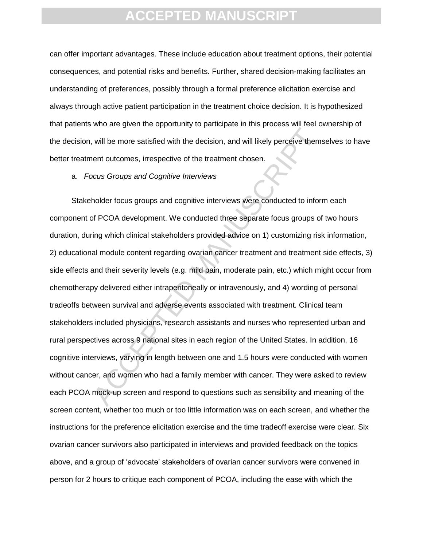can offer important advantages. These include education about treatment options, their potential consequences, and potential risks and benefits. Further, shared decision-making facilitates an understanding of preferences, possibly through a formal preference elicitation exercise and always through active patient participation in the treatment choice decision. It is hypothesized that patients who are given the opportunity to participate in this process will feel ownership of the decision, will be more satisfied with the decision, and will likely perceive themselves to have better treatment outcomes, irrespective of the treatment chosen.

### a. *Focus Groups and Cognitive Interviews*

will be more satisfied with the decision, and will likely perceive them<br>ent outcomes, irrespective of the treatment chosen.<br>CCUS Groups and Cognitive Interviews<br>holder focus groups and cognitive interviews<br>were conducted t Stakeholder focus groups and cognitive interviews were conducted to inform each component of PCOA development. We conducted three separate focus groups of two hours duration, during which clinical stakeholders provided advice on 1) customizing risk information, 2) educational module content regarding ovarian cancer treatment and treatment side effects, 3) side effects and their severity levels (e.g. mild pain, moderate pain, etc.) which might occur from chemotherapy delivered either intraperitoneally or intravenously, and 4) wording of personal tradeoffs between survival and adverse events associated with treatment. Clinical team stakeholders included physicians, research assistants and nurses who represented urban and rural perspectives across 9 national sites in each region of the United States. In addition, 16 cognitive interviews, varying in length between one and 1.5 hours were conducted with women without cancer, and women who had a family member with cancer. They were asked to review each PCOA mock-up screen and respond to questions such as sensibility and meaning of the screen content, whether too much or too little information was on each screen, and whether the instructions for the preference elicitation exercise and the time tradeoff exercise were clear. Six ovarian cancer survivors also participated in interviews and provided feedback on the topics above, and a group of "advocate" stakeholders of ovarian cancer survivors were convened in person for 2 hours to critique each component of PCOA, including the ease with which the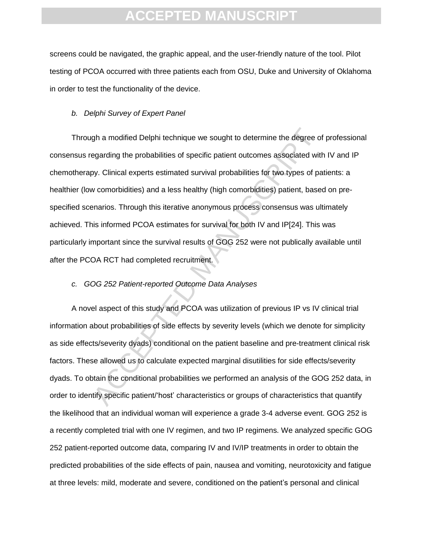screens could be navigated, the graphic appeal, and the user-friendly nature of the tool. Pilot testing of PCOA occurred with three patients each from OSU, Duke and University of Oklahoma in order to test the functionality of the device.

#### *b. Delphi Survey of Expert Panel*

gh a modified Delphi technique we sought to determine the degree of regarding the probabilities of specific patient outcomes associated with y. Clinical experts estimated survival probabilities for two types of particular Through a modified Delphi technique we sought to determine the degree of professional consensus regarding the probabilities of specific patient outcomes associated with IV and IP chemotherapy. Clinical experts estimated survival probabilities for two types of patients: a healthier (low comorbidities) and a less healthy (high comorbidities) patient, based on prespecified scenarios. Through this iterative anonymous process consensus was ultimately achieved. This informed PCOA estimates for survival for both IV and IP[24]. This was particularly important since the survival results of GOG 252 were not publically available until after the PCOA RCT had completed recruitment.

### *c. GOG 252 Patient-reported Outcome Data Analyses*

A novel aspect of this study and PCOA was utilization of previous IP vs IV clinical trial information about probabilities of side effects by severity levels (which we denote for simplicity as side effects/severity dyads) conditional on the patient baseline and pre-treatment clinical risk factors. These allowed us to calculate expected marginal disutilities for side effects/severity dyads. To obtain the conditional probabilities we performed an analysis of the GOG 252 data, in order to identify specific patient/"host" characteristics or groups of characteristics that quantify the likelihood that an individual woman will experience a grade 3-4 adverse event. GOG 252 is a recently completed trial with one IV regimen, and two IP regimens. We analyzed specific GOG 252 patient-reported outcome data, comparing IV and IV/IP treatments in order to obtain the predicted probabilities of the side effects of pain, nausea and vomiting, neurotoxicity and fatigue at three levels: mild, moderate and severe, conditioned on the patient"s personal and clinical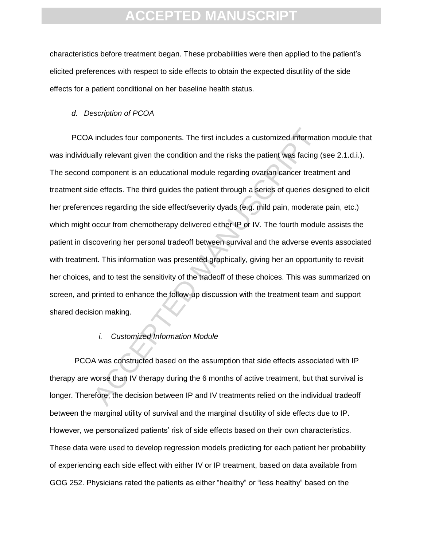characteristics before treatment began. These probabilities were then applied to the patient"s elicited preferences with respect to side effects to obtain the expected disutility of the side effects for a patient conditional on her baseline health status.

#### *d. Description of PCOA*

is includes four components. The first includes a customized informatially relevant given the condition and the risks the patient was facing (component is an educational module regarding ovarian cancer treatmet defects. Th PCOA includes four components. The first includes a customized information module that was individually relevant given the condition and the risks the patient was facing (see 2.1.d.i.). The second component is an educational module regarding ovarian cancer treatment and treatment side effects. The third guides the patient through a series of queries designed to elicit her preferences regarding the side effect/severity dyads (e.g. mild pain, moderate pain, etc.) which might occur from chemotherapy delivered either IP or IV. The fourth module assists the patient in discovering her personal tradeoff between survival and the adverse events associated with treatment. This information was presented graphically, giving her an opportunity to revisit her choices, and to test the sensitivity of the tradeoff of these choices. This was summarized on screen, and printed to enhance the follow-up discussion with the treatment team and support shared decision making.

#### *i. Customized Information Module*

PCOA was constructed based on the assumption that side effects associated with IP therapy are worse than IV therapy during the 6 months of active treatment, but that survival is longer. Therefore, the decision between IP and IV treatments relied on the individual tradeoff between the marginal utility of survival and the marginal disutility of side effects due to IP. However, we personalized patients" risk of side effects based on their own characteristics. These data were used to develop regression models predicting for each patient her probability of experiencing each side effect with either IV or IP treatment, based on data available from GOG 252. Physicians rated the patients as either "healthy" or "less healthy" based on the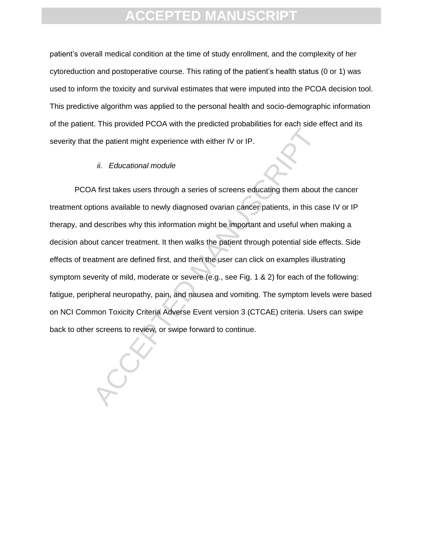patient"s overall medical condition at the time of study enrollment, and the complexity of her cytoreduction and postoperative course. This rating of the patient"s health status (0 or 1) was used to inform the toxicity and survival estimates that were imputed into the PCOA decision tool. This predictive algorithm was applied to the personal health and socio-demographic information of the patient. This provided PCOA with the predicted probabilities for each side effect and its severity that the patient might experience with either IV or IP.

### *ii. Educational module*

the patient might experience with either IV or IP.<br>
ii. Educational module<br>
A first takes users through a series of screens educating them about<br>
tions available to newly diagnosed ovarian cancer patients, in this calescri PCOA first takes users through a series of screens educating them about the cancer treatment options available to newly diagnosed ovarian cancer patients, in this case IV or IP therapy, and describes why this information might be important and useful when making a decision about cancer treatment. It then walks the patient through potential side effects. Side effects of treatment are defined first, and then the user can click on examples illustrating symptom severity of mild, moderate or severe (e.g., see Fig. 1 & 2) for each of the following: fatigue, peripheral neuropathy, pain, and nausea and vomiting. The symptom levels were based on NCI Common Toxicity Criteria Adverse Event version 3 (CTCAE) criteria. Users can swipe back to other screens to review, or swipe forward to continue.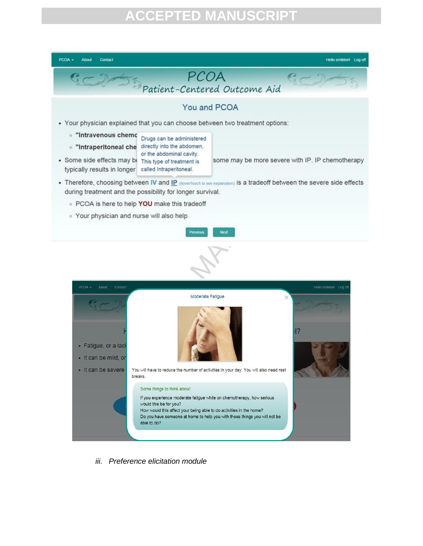



*iii. Preference elicitation module*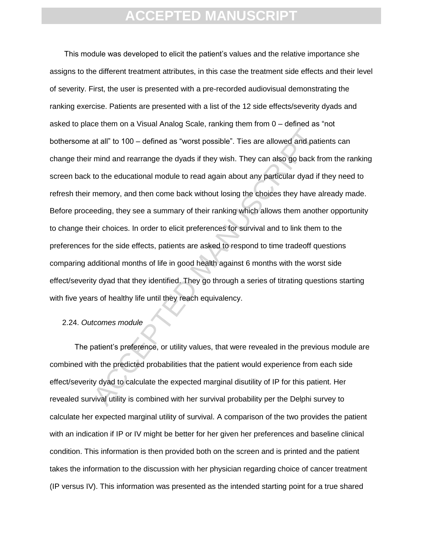at all" to 100 – defined as "worst possible". Ties are allowed and pati<br>mind and rearrange the dyads if they wish. They can also go back fr<br>to the educational module to read again about any particular dyad if<br>memory, and t This module was developed to elicit the patient"s values and the relative importance she assigns to the different treatment attributes, in this case the treatment side effects and their level of severity. First, the user is presented with a pre-recorded audiovisual demonstrating the ranking exercise. Patients are presented with a list of the 12 side effects/severity dyads and asked to place them on a Visual Analog Scale, ranking them from 0 – defined as "not bothersome at all" to 100 – defined as "worst possible". Ties are allowed and patients can change their mind and rearrange the dyads if they wish. They can also go back from the ranking screen back to the educational module to read again about any particular dyad if they need to refresh their memory, and then come back without losing the choices they have already made. Before proceeding, they see a summary of their ranking which allows them another opportunity to change their choices. In order to elicit preferences for survival and to link them to the preferences for the side effects, patients are asked to respond to time tradeoff questions comparing additional months of life in good health against 6 months with the worst side effect/severity dyad that they identified. They go through a series of titrating questions starting with five years of healthy life until they reach equivalency.

### 2.24. *Outcomes module*

The patient's preference, or utility values, that were revealed in the previous module are combined with the predicted probabilities that the patient would experience from each side effect/severity dyad to calculate the expected marginal disutility of IP for this patient. Her revealed survival utility is combined with her survival probability per the Delphi survey to calculate her expected marginal utility of survival. A comparison of the two provides the patient with an indication if IP or IV might be better for her given her preferences and baseline clinical condition. This information is then provided both on the screen and is printed and the patient takes the information to the discussion with her physician regarding choice of cancer treatment (IP versus IV). This information was presented as the intended starting point for a true shared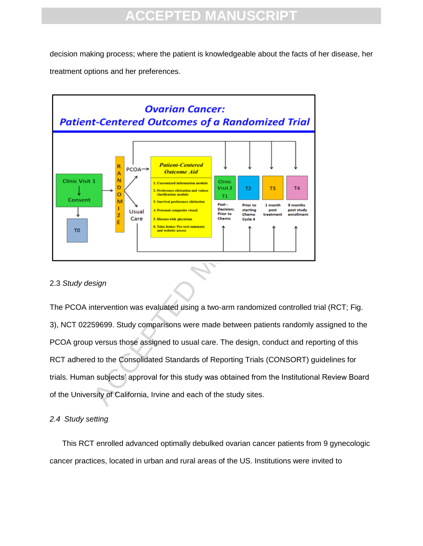decision making process; where the patient is knowledgeable about the facts of her disease, her treatment options and her preferences.



### 2.3 *Study design*

The PCOA intervention was evaluated using a two-arm randomized controlled trial (RCT; Fig. 3), NCT 02259699. Study comparisons were made between patients randomly assigned to the PCOA group versus those assigned to usual care. The design, conduct and reporting of this RCT adhered to the Consolidated Standards of Reporting Trials (CONSORT) guidelines for trials. Human subjects" approval for this study was obtained from the Institutional Review Board of the University of California, Irvine and each of the study sites.

### *2.4 Study setting*

This RCT enrolled advanced optimally debulked ovarian cancer patients from 9 gynecologic cancer practices, located in urban and rural areas of the US. Institutions were invited to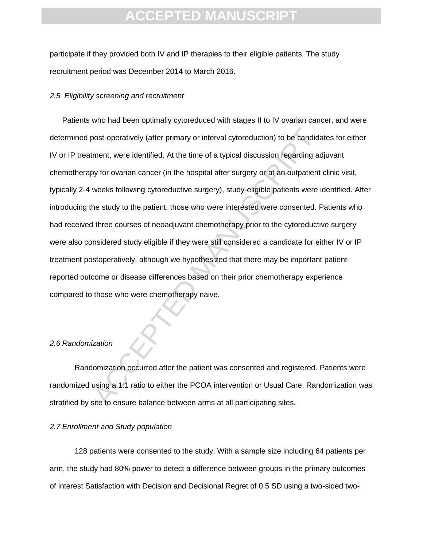participate if they provided both IV and IP therapies to their eligible patients. The study recruitment period was December 2014 to March 2016.

### *2.5 Eligibility screening and recruitment*

bost-operatively (after primary or interval cytoreduction) to be candidement, were identified. At the time of a typical discussion regarding action of a typical discussion regarding action of a typical discussion regarding Patients who had been optimally cytoreduced with stages II to IV ovarian cancer, and were determined post-operatively (after primary or interval cytoreduction) to be candidates for either IV or IP treatment, were identified. At the time of a typical discussion regarding adjuvant chemotherapy for ovarian cancer (in the hospital after surgery or at an outpatient clinic visit, typically 2-4 weeks following cytoreductive surgery), study-eligible patients were identified. After introducing the study to the patient, those who were interested were consented. Patients who had received three courses of neoadjuvant chemotherapy prior to the cytoreductive surgery were also considered study eligible if they were still considered a candidate for either IV or IP treatment postoperatively, although we hypothesized that there may be important patientreported outcome or disease differences based on their prior chemotherapy experience compared to those who were chemotherapy naive.

#### *2.6 Randomization*

Randomization occurred after the patient was consented and registered. Patients were randomized using a 1:1 ratio to either the PCOA intervention or Usual Care. Randomization was stratified by site to ensure balance between arms at all participating sites.

### *2.7 Enrollment and Study population*

128 patients were consented to the study. With a sample size including 64 patients per arm, the study had 80% power to detect a difference between groups in the primary outcomes of interest Satisfaction with Decision and Decisional Regret of 0.5 SD using a two-sided two-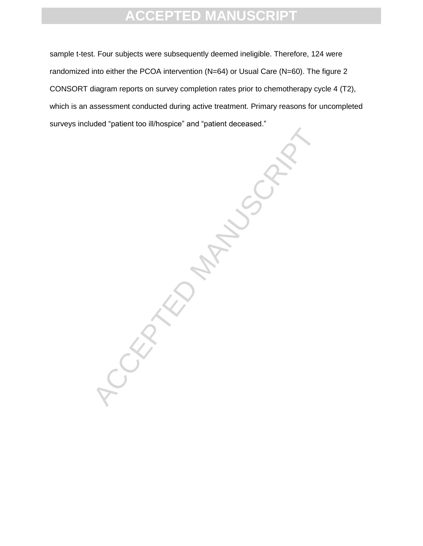sample t-test. Four subjects were subsequently deemed ineligible. Therefore, 124 were randomized into either the PCOA intervention (N=64) or Usual Care (N=60). The figure 2 CONSORT diagram reports on survey completion rates prior to chemotherapy cycle 4 (T2), which is an assessment conducted during active treatment. Primary reasons for uncompleted surveys included "patient too ill/hospice" and "patient deceased."

**ACCEPTED MANUSCRIPT**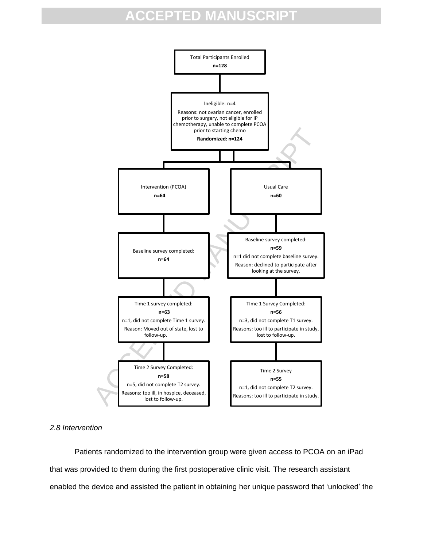

### *2.8 Intervention*

Patients randomized to the intervention group were given access to PCOA on an iPad that was provided to them during the first postoperative clinic visit. The research assistant enabled the device and assisted the patient in obtaining her unique password that "unlocked" the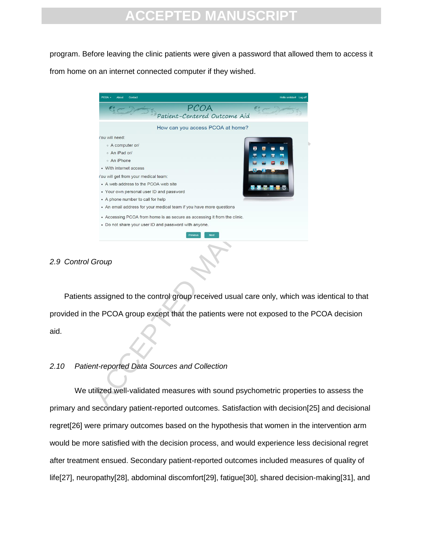program. Before leaving the clinic patients were given a password that allowed them to access it from home on an internet connected computer if they wished.

| PCOA<br>Contact<br>About                                                      | Hello smildon! Log of |
|-------------------------------------------------------------------------------|-----------------------|
| PCOA                                                                          |                       |
| Patient-Centered Outcome Aid                                                  |                       |
| How can you access PCOA at home?                                              |                       |
| /ou will need:                                                                |                       |
| ○ A computer or/                                                              |                       |
| ○ An iPad or/                                                                 |                       |
| ○ An iPhone                                                                   |                       |
| • With internet access                                                        |                       |
| ou will get from your medical team:                                           |                       |
| • A web address to the PCOA web site                                          |                       |
| • Your own personal user ID and password                                      |                       |
| • A phone number to call for help                                             |                       |
| • An email address for your medical team if you have more questions           |                       |
| • Accessing PCOA from home is as secure as accessing it from the clinic.      |                       |
| • Do not share your user ID and password with anyone.                         |                       |
|                                                                               |                       |
| Group<br>assigned to the control group received usual care only, which was ic |                       |
| he PCOA group except that the patients were not exposed to the PC             |                       |
| nt-reported Data Sources and Collection                                       |                       |
|                                                                               |                       |

### *2.9 Control Group*

Patients assigned to the control group received usual care only, which was identical to that provided in the PCOA group except that the patients were not exposed to the PCOA decision aid.

### *2.10 Patient-reported Data Sources and Collection*

We utilized well-validated measures with sound psychometric properties to assess the primary and secondary patient-reported outcomes. Satisfaction with decision[25] and decisional regret[26] were primary outcomes based on the hypothesis that women in the intervention arm would be more satisfied with the decision process, and would experience less decisional regret after treatment ensued. Secondary patient-reported outcomes included measures of quality of life[27], neuropathy[28], abdominal discomfort[29], fatigue[30], shared decision-making[31], and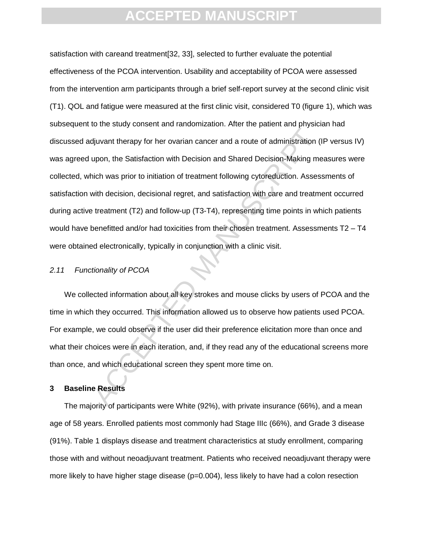diplarity the matter of a dramater and a route of administration (upon, the Satisfaction with Decision and Shared Decision-Making me<br>
inch was prior to initiation of treatment following cytoreduction. Assess<br>
with decision satisfaction with careand treatment[32, 33], selected to further evaluate the potential effectiveness of the PCOA intervention. Usability and acceptability of PCOA were assessed from the intervention arm participants through a brief self-report survey at the second clinic visit (T1). QOL and fatigue were measured at the first clinic visit, considered T0 (figure 1), which was subsequent to the study consent and randomization. After the patient and physician had discussed adjuvant therapy for her ovarian cancer and a route of administration (IP versus IV) was agreed upon, the Satisfaction with Decision and Shared Decision-Making measures were collected, which was prior to initiation of treatment following cytoreduction. Assessments of satisfaction with decision, decisional regret, and satisfaction with care and treatment occurred during active treatment (T2) and follow-up (T3-T4), representing time points in which patients would have benefitted and/or had toxicities from their chosen treatment. Assessments T2 – T4 were obtained electronically, typically in conjunction with a clinic visit.

### *2.11 Functionality of PCOA*

We collected information about all key strokes and mouse clicks by users of PCOA and the time in which they occurred. This information allowed us to observe how patients used PCOA. For example, we could observe if the user did their preference elicitation more than once and what their choices were in each iteration, and, if they read any of the educational screens more than once, and which educational screen they spent more time on.

### **3 Baseline Results**

The majority of participants were White (92%), with private insurance (66%), and a mean age of 58 years. Enrolled patients most commonly had Stage IIIc (66%), and Grade 3 disease (91%). Table 1 displays disease and treatment characteristics at study enrollment, comparing those with and without neoadjuvant treatment. Patients who received neoadjuvant therapy were more likely to have higher stage disease (p=0.004), less likely to have had a colon resection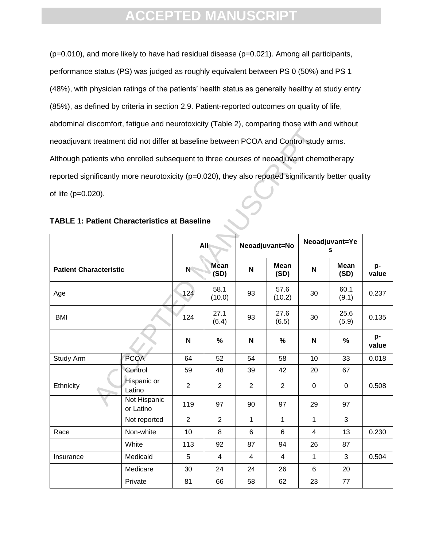(p=0.010), and more likely to have had residual disease (p=0.021). Among all participants, performance status (PS) was judged as roughly equivalent between PS 0 (50%) and PS 1 (48%), with physician ratings of the patients' health status as generally healthy at study entry (85%), as defined by criteria in section 2.9. Patient-reported outcomes on quality of life, abdominal discomfort, fatigue and neurotoxicity (Table 2), comparing those with and without neoadjuvant treatment did not differ at baseline between PCOA and Control study arms. Although patients who enrolled subsequent to three courses of neoadjuvant chemotherapy reported significantly more neurotoxicity (p=0.020), they also reported significantly better quality of life (p=0.020).

| neoadjuvant treatment did not differ at baseline between PCOA and Control study arms.                |                               |                |                     |                |                     |                         |               |             |
|------------------------------------------------------------------------------------------------------|-------------------------------|----------------|---------------------|----------------|---------------------|-------------------------|---------------|-------------|
| Although patients who enrolled subsequent to three courses of neoadjuvant chemotherapy               |                               |                |                     |                |                     |                         |               |             |
| reported significantly more neurotoxicity (p=0.020), they also reported significantly better quality |                               |                |                     |                |                     |                         |               |             |
| of life (p=0.020).                                                                                   |                               |                |                     |                |                     |                         |               |             |
|                                                                                                      |                               |                |                     |                |                     |                         |               |             |
| <b>TABLE 1: Patient Characteristics at Baseline</b>                                                  |                               |                |                     |                |                     |                         |               |             |
|                                                                                                      |                               |                | <b>All</b>          | Neoadjuvant=No |                     | Neoadjuvant=Ye<br>S     |               |             |
|                                                                                                      | <b>Patient Characteristic</b> |                | <b>Mean</b><br>(SD) | N              | <b>Mean</b><br>(SD) | N                       | Mean<br>(SD)  | p-<br>value |
| Age                                                                                                  |                               | 124            | 58.1<br>(10.0)      | 93             | 57.6<br>(10.2)      | 30                      | 60.1<br>(9.1) | 0.237       |
| <b>BMI</b>                                                                                           |                               | 124            | 27.1<br>(6.4)       | 93             | 27.6<br>(6.5)       | 30                      | 25.6<br>(5.9) | 0.135       |
|                                                                                                      |                               | N              | $\%$                | N              | $\%$                | $\mathsf N$             | $\%$          | p-<br>value |
| Study Arm                                                                                            | <b>PCOA</b>                   | 64             | 52                  | 54             | 58                  | 10                      | 33            | 0.018       |
|                                                                                                      | Control                       | 59             | 48                  | 39             | 42                  | 20                      | 67            |             |
| Ethnicity                                                                                            | Hispanic or<br>Latino         | $\overline{2}$ | $\overline{2}$      | $\overline{2}$ | $\overline{2}$      | 0                       | 0             | 0.508       |
|                                                                                                      | Not Hispanic<br>or Latino     | 119            | 97                  | 90             | 97                  | 29                      | 97            |             |
|                                                                                                      | Not reported                  | $\overline{2}$ | $\overline{2}$      | $\mathbf{1}$   | $\mathbf{1}$        | $\mathbf{1}$            | 3             |             |
| Race                                                                                                 | Non-white                     | 10             | 8                   | 6              | 6                   | $\overline{\mathbf{4}}$ | 13            | 0.230       |
|                                                                                                      | White                         | 113            | 92                  | 87             | 94                  | 26                      | 87            |             |
| Insurance                                                                                            | Medicaid                      | 5              | $\overline{4}$      | $\overline{4}$ | $\overline{4}$      | $\mathbf{1}$            | 3             | 0.504       |
|                                                                                                      | Medicare                      | 30             | 24                  | 24             | 26                  | 6                       | 20            |             |
|                                                                                                      | Private                       | 81             | 66                  | 58             | 62                  | 23                      | 77            |             |

| <b>TABLE 1: Patient Characteristics at Baseline</b> |  |  |
|-----------------------------------------------------|--|--|
|-----------------------------------------------------|--|--|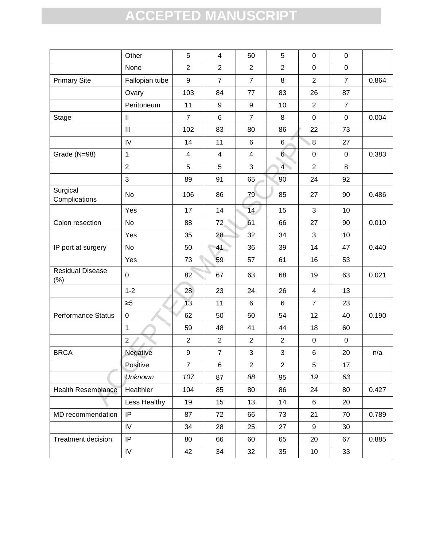|                                   | Other                                 | $\overline{5}$ | $\overline{\mathbf{4}}$ | 50                      | 5                | $\mathbf 0$     | $\pmb{0}$      |       |
|-----------------------------------|---------------------------------------|----------------|-------------------------|-------------------------|------------------|-----------------|----------------|-------|
|                                   | None                                  | $\overline{2}$ | $\overline{2}$          | $\overline{2}$          | $\overline{2}$   | $\mathbf 0$     | $\pmb{0}$      |       |
| <b>Primary Site</b>               | Fallopian tube                        | 9              | $\overline{7}$          | $\overline{7}$          | 8                | $\overline{2}$  | $\overline{7}$ | 0.864 |
|                                   | Ovary                                 | 103            | 84                      | 77                      | 83               | 26              | 87             |       |
|                                   | Peritoneum                            | 11             | $\boldsymbol{9}$        | $\boldsymbol{9}$        | 10               | 2               | $\overline{7}$ |       |
| Stage                             | $\begin{array}{c} \hline \end{array}$ | $\overline{7}$ | 6                       | $\overline{7}$          | 8                | $\mathsf 0$     | $\pmb{0}$      | 0.004 |
|                                   | III                                   | 102            | 83                      | 80                      | 86               | 22              | 73             |       |
|                                   | IV                                    | 14             | 11                      | 6                       | $6\phantom{1}6$  | $8 \,$          | 27             |       |
| Grade (N=98)                      | $\mathbf{1}$                          | 4              | $\overline{\mathbf{4}}$ | $\overline{\mathbf{4}}$ | $6 \overline{6}$ | $\mathbf 0$     | $\pmb{0}$      | 0.383 |
|                                   | $\overline{2}$                        | 5              | 5                       | 3                       | 4 <sup>1</sup>   | $\overline{2}$  | 8              |       |
|                                   | 3                                     | 89             | 91                      | 65                      | 90               | 24              | 92             |       |
| Surgical<br>Complications         | No                                    | 106            | 86                      | 79                      | 85               | 27              | 90             | 0.486 |
|                                   | Yes                                   | 17             | 14                      | 14                      | 15               | $\mathfrak{S}$  | 10             |       |
| Colon resection                   | <b>No</b>                             | 88             | 72.                     | 61                      | 66               | 27              | 90             | 0.010 |
|                                   | Yes                                   | 35             | 28                      | 32                      | 34               | 3               | 10             |       |
| IP port at surgery                | <b>No</b>                             | 50             | 41                      | 36                      | 39               | 14              | 47             | 0.440 |
|                                   | Yes                                   | 73             | 59                      | 57                      | 61               | 16              | 53             |       |
| <b>Residual Disease</b><br>$(\%)$ | $\mathbf 0$                           | 82             | 67                      | 63                      | 68               | 19              | 63             | 0.021 |
|                                   | $1 - 2$                               | 28             | 23                      | 24                      | 26               | $\overline{4}$  | 13             |       |
|                                   | $\geq 5$                              | 13             | 11                      | $6\phantom{1}$          | $\,6$            | $\overline{7}$  | 23             |       |
| <b>Performance Status</b>         | $\pmb{0}$                             | 62             | 50                      | 50                      | 54               | 12              | 40             | 0.190 |
|                                   | $\mathbf{1}$                          | 59             | 48                      | 41                      | 44               | 18              | 60             |       |
|                                   | $\overline{2}$                        | $\overline{2}$ | $\overline{2}$          | $\overline{2}$          | $\overline{2}$   | $\mathbf 0$     | $\pmb{0}$      |       |
| <b>BRCA</b>                       | Negative                              | 9              | $\overline{7}$          | 3                       | 3                | $\,6\,$         | 20             | n/a   |
|                                   | Positive                              | $\overline{7}$ | $\,6\,$                 | $\overline{2}$          | $\overline{2}$   | $5\phantom{.0}$ | 17             |       |
|                                   | <b>Unknown</b>                        | 107            | 87                      | 88                      | 95               | 19              | 63             |       |
| <b>Health Resemblance</b>         | Healthier                             | 104            | 85                      | 80                      | 86               | 24              | 80             | 0.427 |
|                                   | Less Healthy                          | 19             | 15                      | 13                      | 14               | 6               | 20             |       |
| MD recommendation                 | IP                                    | 87             | 72                      | 66                      | 73               | 21              | 70             | 0.789 |
|                                   | IV                                    | 34             | 28                      | 25                      | 27               | $9\,$           | 30             |       |
| <b>Treatment decision</b>         | IP                                    | 80             | 66                      | 60                      | 65               | 20              | 67             | 0.885 |
|                                   | IV                                    | 42             | 34                      | 32                      | 35               | 10              | 33             |       |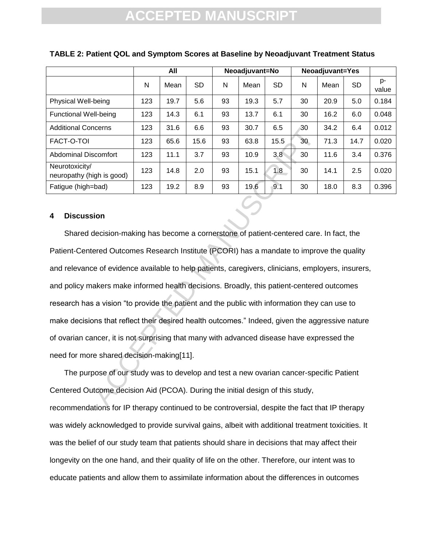|                                             | All |      |      | Neoadjuvant=No |      |           | <b>Neoadjuvant=Yes</b> |      |           |             |
|---------------------------------------------|-----|------|------|----------------|------|-----------|------------------------|------|-----------|-------------|
|                                             | N   | Mean | SD   | N              | Mean | <b>SD</b> | N                      | Mean | <b>SD</b> | p-<br>value |
| Physical Well-being                         | 123 | 19.7 | 5.6  | 93             | 19.3 | 5.7       | 30                     | 20.9 | 5.0       | 0.184       |
| <b>Functional Well-being</b>                | 123 | 14.3 | 6.1  | 93             | 13.7 | 6.1       | 30                     | 16.2 | 6.0       | 0.048       |
| <b>Additional Concerns</b>                  | 123 | 31.6 | 6.6  | 93             | 30.7 | 6.5       | 30                     | 34.2 | 6.4       | 0.012       |
| FACT-O-TOI                                  | 123 | 65.6 | 15.6 | 93             | 63.8 | 15.5      | 30                     | 71.3 | 14.7      | 0.020       |
| <b>Abdominal Discomfort</b>                 | 123 | 11.1 | 3.7  | 93             | 10.9 | 3.8       | 30                     | 11.6 | 3.4       | 0.376       |
| Neurotoxicity/<br>neuropathy (high is good) | 123 | 14.8 | 2.0  | 93             | 15.1 | 1.8       | 30                     | 14.1 | 2.5       | 0.020       |
| Fatigue (high=bad)                          | 123 | 19.2 | 8.9  | 93             | 19.6 | 9.1       | 30                     | 18.0 | 8.3       | 0.396       |

### **TABLE 2: Patient QOL and Symptom Scores at Baseline by Neoadjuvant Treatment Status**

### **4 Discussion**

comfort 123 31.6 6.6 93 30.7 6.5 30<br>
123 65.6 15.6 93 63.8 15.5 30<br>
scomfort 123 11.1 3.7 93 10.9 3.8 30<br>
igh is good) 123 14.8 2.0 93 15.1 1.8 30<br>
bad) 123 19.2 8.9 93 19.6 9.1 30<br>
idn decision-making has become a corner Shared decision-making has become a cornerstone of patient-centered care. In fact, the Patient-Centered Outcomes Research Institute (PCORI) has a mandate to improve the quality and relevance of evidence available to help patients, caregivers, clinicians, employers, insurers, and policy makers make informed health decisions. Broadly, this patient-centered outcomes research has a vision "to provide the patient and the public with information they can use to make decisions that reflect their desired health outcomes." Indeed, given the aggressive nature of ovarian cancer, it is not surprising that many with advanced disease have expressed the need for more shared decision-making[11].

The purpose of our study was to develop and test a new ovarian cancer-specific Patient Centered Outcome decision Aid (PCOA). During the initial design of this study, recommendations for IP therapy continued to be controversial, despite the fact that IP therapy was widely acknowledged to provide survival gains, albeit with additional treatment toxicities. It was the belief of our study team that patients should share in decisions that may affect their longevity on the one hand, and their quality of life on the other. Therefore, our intent was to educate patients and allow them to assimilate information about the differences in outcomes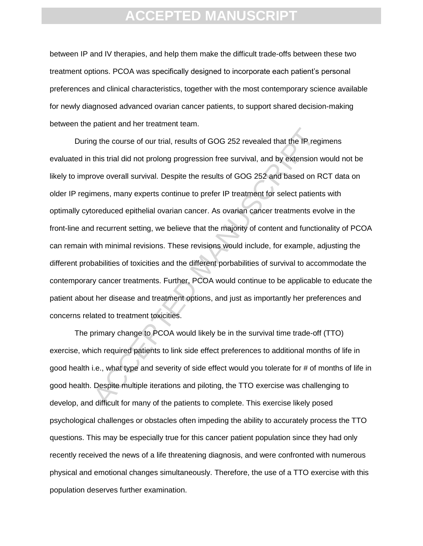between IP and IV therapies, and help them make the difficult trade-offs between these two treatment options. PCOA was specifically designed to incorporate each patient"s personal preferences and clinical characteristics, together with the most contemporary science available for newly diagnosed advanced ovarian cancer patients, to support shared decision-making between the patient and her treatment team.

ighthe course of our trial, results of GOG 252 revealed that the IP reg<br>this trial did not prolong progression free survival, and by extension v<br>ove overall survival. Despite the results of GOG 252 and based on R<br>mens, man During the course of our trial, results of GOG 252 revealed that the IP regimens evaluated in this trial did not prolong progression free survival, and by extension would not be likely to improve overall survival. Despite the results of GOG 252 and based on RCT data on older IP regimens, many experts continue to prefer IP treatment for select patients with optimally cytoreduced epithelial ovarian cancer. As ovarian cancer treatments evolve in the front-line and recurrent setting, we believe that the majority of content and functionality of PCOA can remain with minimal revisions. These revisions would include, for example, adjusting the different probabilities of toxicities and the different porbabilities of survival to accommodate the contemporary cancer treatments. Further, PCOA would continue to be applicable to educate the patient about her disease and treatment options, and just as importantly her preferences and concerns related to treatment toxicities.

The primary change to PCOA would likely be in the survival time trade-off (TTO) exercise, which required patients to link side effect preferences to additional months of life in good health i.e., what type and severity of side effect would you tolerate for # of months of life in good health. Despite multiple iterations and piloting, the TTO exercise was challenging to develop, and difficult for many of the patients to complete. This exercise likely posed psychological challenges or obstacles often impeding the ability to accurately process the TTO questions. This may be especially true for this cancer patient population since they had only recently received the news of a life threatening diagnosis, and were confronted with numerous physical and emotional changes simultaneously. Therefore, the use of a TTO exercise with this population deserves further examination.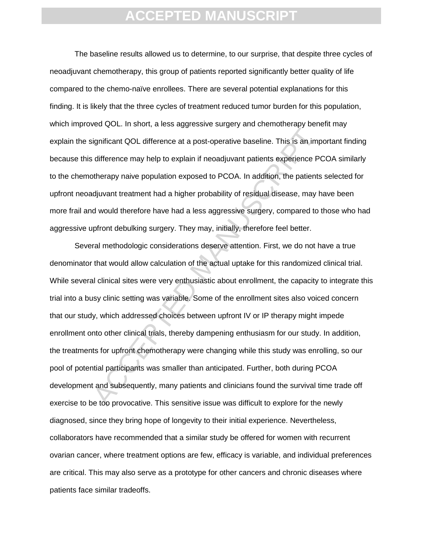The baseline results allowed us to determine, to our surprise, that despite three cycles of neoadjuvant chemotherapy, this group of patients reported significantly better quality of life compared to the chemo-naïve enrollees. There are several potential explanations for this finding. It is likely that the three cycles of treatment reduced tumor burden for this population, which improved QOL. In short, a less aggressive surgery and chemotherapy benefit may explain the significant QOL difference at a post-operative baseline. This is an important finding because this difference may help to explain if neoadjuvant patients experience PCOA similarly to the chemotherapy naive population exposed to PCOA. In addition, the patients selected for upfront neoadjuvant treatment had a higher probability of residual disease, may have been more frail and would therefore have had a less aggressive surgery, compared to those who had aggressive upfront debulking surgery. They may, initially, therefore feel better.

ignificant QOL difference at a post-operative baseline. This is an imp<br>difference may help to explain if neoadjuvant patients experience P(<br>otherapy naive population exposed to PCOA. In addition, the patients<br>djuvant treat Several methodologic considerations deserve attention. First, we do not have a true denominator that would allow calculation of the actual uptake for this randomized clinical trial. While several clinical sites were very enthusiastic about enrollment, the capacity to integrate this trial into a busy clinic setting was variable. Some of the enrollment sites also voiced concern that our study, which addressed choices between upfront IV or IP therapy might impede enrollment onto other clinical trials, thereby dampening enthusiasm for our study. In addition, the treatments for upfront chemotherapy were changing while this study was enrolling, so our pool of potential participants was smaller than anticipated. Further, both during PCOA development and subsequently, many patients and clinicians found the survival time trade off exercise to be too provocative. This sensitive issue was difficult to explore for the newly diagnosed, since they bring hope of longevity to their initial experience. Nevertheless, collaborators have recommended that a similar study be offered for women with recurrent ovarian cancer, where treatment options are few, efficacy is variable, and individual preferences are critical. This may also serve as a prototype for other cancers and chronic diseases where patients face similar tradeoffs.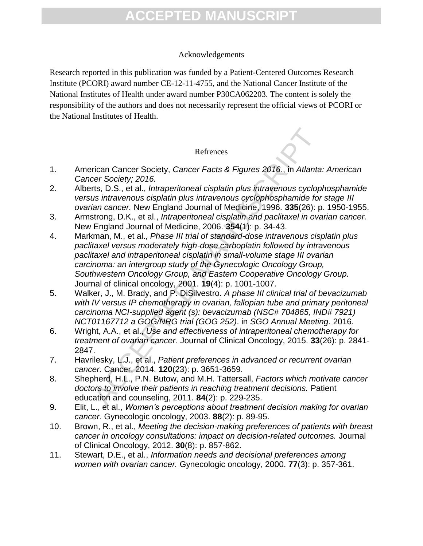### Acknowledgements

Research reported in this publication was funded by a Patient-Centered Outcomes Research Institute (PCORI) award number CE-12-11-4755, and the National Cancer Institute of the National Institutes of Health under award number P30CA062203. The content is solely the responsibility of the authors and does not necessarily represent the official views of PCORI or the National Institutes of Health.

### Refrences

- 1. American Cancer Society, *Cancer Facts & Figures 2016.*, in *Atlanta: American Cancer Society; 2016.*
- 2. Alberts, D.S., et al., *Intraperitoneal cisplatin plus intravenous cyclophosphamide versus intravenous cisplatin plus intravenous cyclophosphamide for stage III ovarian cancer.* New England Journal of Medicine, 1996. **335**(26): p. 1950-1955.
- 3. Armstrong, D.K., et al., *Intraperitoneal cisplatin and paclitaxel in ovarian cancer.* New England Journal of Medicine, 2006. **354**(1): p. 34-43.
- Refrences<br>
Refrences<br>
rican Cancer Society, 2016.<br>
The Secciety: 2016. The Secciety of the Secciety: 2016. In Atlanta<br>
traxemous cisplatin plus intravenous cyclophosphamide for<br>
the meancer. New England Journal of Medicine 4. Markman, M., et al., *Phase III trial of standard-dose intravenous cisplatin plus paclitaxel versus moderately high-dose carboplatin followed by intravenous paclitaxel and intraperitoneal cisplatin in small-volume stage III ovarian carcinoma: an intergroup study of the Gynecologic Oncology Group, Southwestern Oncology Group, and Eastern Cooperative Oncology Group.* Journal of clinical oncology, 2001. **19**(4): p. 1001-1007.
- 5. Walker, J., M. Brady, and P. DiSilvestro. *A phase III clinical trial of bevacizumab with IV versus IP chemotherapy in ovarian, fallopian tube and primary peritoneal carcinoma NCI-supplied agent (s): bevacizumab (NSC# 704865, IND# 7921) NCT01167712 a GOG/NRG trial (GOG 252)*. in *SGO Annual Meeting*. 2016.
- 6. Wright, A.A., et al., *Use and effectiveness of intraperitoneal chemotherapy for treatment of ovarian cancer.* Journal of Clinical Oncology, 2015. **33**(26): p. 2841- 2847.
- 7. Havrilesky, L.J., et al., *Patient preferences in advanced or recurrent ovarian cancer.* Cancer, 2014. **120**(23): p. 3651-3659.
- 8. Shepherd, H.L., P.N. Butow, and M.H. Tattersall, *Factors which motivate cancer doctors to involve their patients in reaching treatment decisions.* Patient education and counseling, 2011. **84**(2): p. 229-235.
- 9. Elit, L., et al., *Women's perceptions about treatment decision making for ovarian cancer.* Gynecologic oncology, 2003. **88**(2): p. 89-95.
- 10. Brown, R., et al., *Meeting the decision-making preferences of patients with breast cancer in oncology consultations: impact on decision-related outcomes.* Journal of Clinical Oncology, 2012. **30**(8): p. 857-862.
- 11. Stewart, D.E., et al., *Information needs and decisional preferences among women with ovarian cancer.* Gynecologic oncology, 2000. **77**(3): p. 357-361.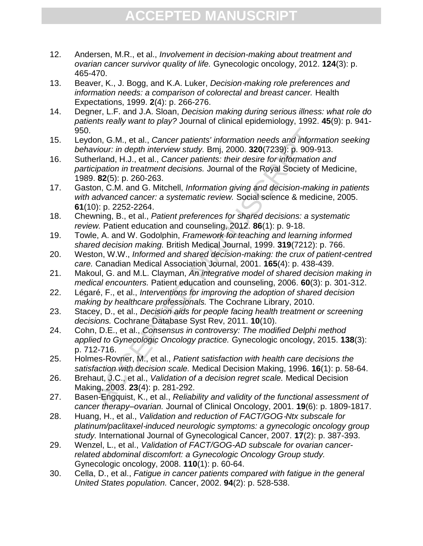- 12. Andersen, M.R., et al., *Involvement in decision-making about treatment and ovarian cancer survivor quality of life.* Gynecologic oncology, 2012. **124**(3): p. 465-470.
- 13. Beaver, K., J. Bogg, and K.A. Luker, *Decision*‐*making role preferences and information needs: a comparison of colorectal and breast cancer.* Health Expectations, 1999. **2**(4): p. 266-276.
- 14. Degner, L.F. and J.A. Sloan, *Decision making during serious illness: what role do patients really want to play?* Journal of clinical epidemiology, 1992. **45**(9): p. 941- 950.
- 15. Leydon, G.M., et al., *Cancer patients' information needs and information seeking behaviour: in depth interview study.* Bmj, 2000. **320**(7239): p. 909-913.
- 16. Sutherland, H.J., et al., *Cancer patients: their desire for information and participation in treatment decisions.* Journal of the Royal Society of Medicine, 1989. **82**(5): p. 260-263.
- on, G.M., et al., *Cancer patients' information needs and information*<br>twiour: in depth interview study. Bmj, 2000. 320(7239): p. 909-9<br>erland, H.J., et al., *Cancer patients: their desire for information*<br>cipation in trea 17. Gaston, C.M. and G. Mitchell, *Information giving and decision-making in patients with advanced cancer: a systematic review.* Social science & medicine, 2005. **61**(10): p. 2252-2264.
- 18. Chewning, B., et al., *Patient preferences for shared decisions: a systematic review.* Patient education and counseling, 2012. **86**(1): p. 9-18.
- 19. Towle, A. and W. Godolphin, *Framework for teaching and learning informed shared decision making.* British Medical Journal, 1999. **319**(7212): p. 766.
- 20. Weston, W.W., *Informed and shared decision-making: the crux of patient-centred care.* Canadian Medical Association Journal, 2001. **165**(4): p. 438-439.
- 21. Makoul, G. and M.L. Clayman, *An integrative model of shared decision making in medical encounters.* Patient education and counseling, 2006. **60**(3): p. 301-312.
- 22. Légaré, F., et al., *Interventions for improving the adoption of shared decision making by healthcare professionals.* The Cochrane Library, 2010.
- 23. Stacey, D., et al., *Decision aids for people facing health treatment or screening decisions.* Cochrane Database Syst Rev, 2011. **10**(10).
- 24. Cohn, D.E., et al., *Consensus in controversy: The modified Delphi method applied to Gynecologic Oncology practice.* Gynecologic oncology, 2015. **138**(3): p. 712-716.
- 25. Holmes-Rovner, M., et al., *Patient satisfaction with health care decisions the satisfaction with decision scale.* Medical Decision Making, 1996. **16**(1): p. 58-64.
- 26. Brehaut, J.C., et al., *Validation of a decision regret scale.* Medical Decision Making, 2003. **23**(4): p. 281-292.
- 27. Basen-Engquist, K., et al., *Reliability and validity of the functional assessment of cancer therapy–ovarian.* Journal of Clinical Oncology, 2001. **19**(6): p. 1809-1817.
- 28. Huang, H., et al., *Validation and reduction of FACT/GOG*‐*Ntx subscale for platinum/paclitaxel*‐*induced neurologic symptoms: a gynecologic oncology group study.* International Journal of Gynecological Cancer, 2007. **17**(2): p. 387-393.
- 29. Wenzel, L., et al., *Validation of FACT/GOG-AD subscale for ovarian cancerrelated abdominal discomfort: a Gynecologic Oncology Group study.* Gynecologic oncology, 2008. **110**(1): p. 60-64.
- 30. Cella, D., et al., *Fatigue in cancer patients compared with fatigue in the general United States population.* Cancer, 2002. **94**(2): p. 528-538.